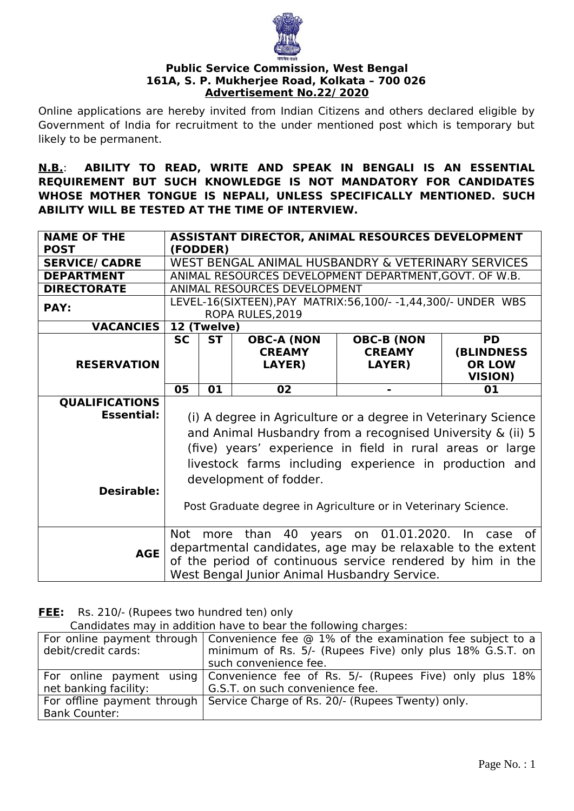

# **Public Service Commission, West Bengal 161A, S. P. Mukherjee Road, Kolkata – 700 026 Advertisement No.22/ 2020**

Online applications are hereby invited from Indian Citizens and others declared eligible by Government of India for recruitment to the under mentioned post which is temporary but likely to be permanent.

**N.B.**: **ABILITY TO READ, WRITE AND SPEAK IN BENGALI IS AN ESSENTIAL REQUIREMENT BUT SUCH KNOWLEDGE IS NOT MANDATORY FOR CANDIDATES WHOSE MOTHER TONGUE IS NEPALI, UNLESS SPECIFICALLY MENTIONED. SUCH ABILITY WILL BE TESTED AT THE TIME OF INTERVIEW.**

| <b>NAME OF THE</b><br><b>POST</b>          | ASSISTANT DIRECTOR, ANIMAL RESOURCES DEVELOPMENT<br>(FODDER)                                                                                                                                                                                       |           |                                              |                                              |                                                                    |
|--------------------------------------------|----------------------------------------------------------------------------------------------------------------------------------------------------------------------------------------------------------------------------------------------------|-----------|----------------------------------------------|----------------------------------------------|--------------------------------------------------------------------|
| <b>SERVICE/ CADRE</b>                      | WEST BENGAL ANIMAL HUSBANDRY & VETERINARY SERVICES                                                                                                                                                                                                 |           |                                              |                                              |                                                                    |
| <b>DEPARTMENT</b>                          | ANIMAL RESOURCES DEVELOPMENT DEPARTMENT, GOVT. OF W.B.                                                                                                                                                                                             |           |                                              |                                              |                                                                    |
| <b>DIRECTORATE</b>                         | ANIMAL RESOURCES DEVELOPMENT                                                                                                                                                                                                                       |           |                                              |                                              |                                                                    |
| PAY:                                       | LEVEL-16(SIXTEEN), PAY MATRIX: 56, 100/- - 1, 44, 300/- UNDER WBS<br>ROPA RULES, 2019                                                                                                                                                              |           |                                              |                                              |                                                                    |
| <b>VACANCIES</b>                           | 12 (Twelve)                                                                                                                                                                                                                                        |           |                                              |                                              |                                                                    |
| <b>RESERVATION</b>                         | <b>SC</b>                                                                                                                                                                                                                                          | <b>ST</b> | <b>OBC-A (NON</b><br><b>CREAMY</b><br>LAYER) | <b>OBC-B (NON</b><br><b>CREAMY</b><br>LAYER) | <b>PD</b><br><b>(BLINDNESS)</b><br><b>OR LOW</b><br><b>VISION)</b> |
|                                            | 05                                                                                                                                                                                                                                                 | 01        | 02                                           |                                              | 01                                                                 |
| <b>QUALIFICATIONS</b><br><b>Essential:</b> | (i) A degree in Agriculture or a degree in Veterinary Science<br>and Animal Husbandry from a recognised University & (ii) 5<br>(five) years' experience in field in rural areas or large<br>livestock farms including experience in production and |           |                                              |                                              |                                                                    |
| <b>Desirable:</b>                          | development of fodder.<br>Post Graduate degree in Agriculture or in Veterinary Science.                                                                                                                                                            |           |                                              |                                              |                                                                    |
| <b>AGE</b>                                 | 40 years on 01.01.2020.<br>Not<br>0f<br>than<br>more<br>In.<br>case<br>departmental candidates, age may be relaxable to the extent<br>of the period of continuous service rendered by him in the<br>West Bengal Junior Animal Husbandry Service.   |           |                                              |                                              |                                                                    |

**FEE:** Rs. 210/- (Rupees two hundred ten) only

Candidates may in addition have to bear the following charges:

|                       | For online payment through Convenience fee $\odot$ 1% of the examination fee subject to a |  |  |  |  |
|-----------------------|-------------------------------------------------------------------------------------------|--|--|--|--|
| debit/credit cards:   | minimum of Rs. 5/- (Rupees Five) only plus 18% G.S.T. on                                  |  |  |  |  |
|                       | such convenience fee.                                                                     |  |  |  |  |
|                       | For online payment using Convenience fee of Rs. 5/- (Rupees Five) only plus 18%           |  |  |  |  |
| net banking facility: | G.S.T. on such convenience fee.                                                           |  |  |  |  |
|                       | For offline payment through   Service Charge of Rs. 20/- (Rupees Twenty) only.            |  |  |  |  |
| <b>Bank Counter:</b>  |                                                                                           |  |  |  |  |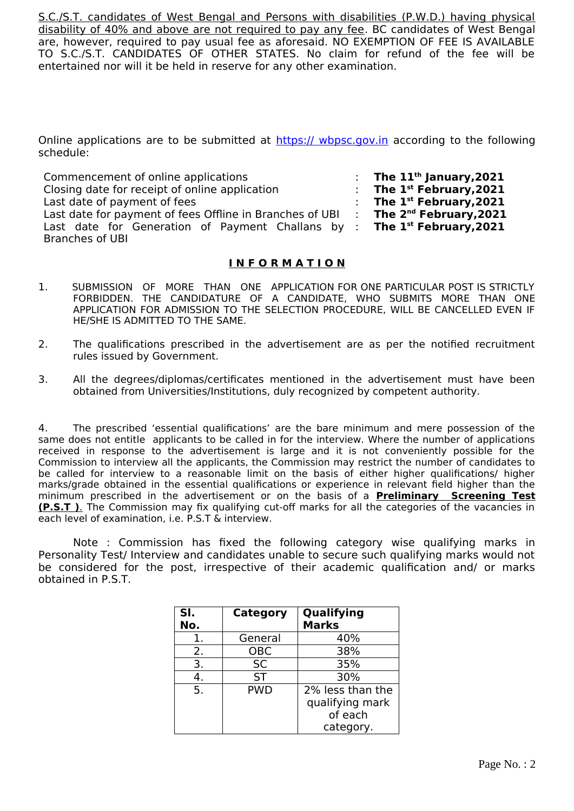S.C./S.T. candidates of West Bengal and Persons with disabilities (P.W.D.) having physical disability of 40% and above are not required to pay any fee. BC candidates of West Bengal are, however, required to pay usual fee as aforesaid. NO EXEMPTION OF FEE IS AVAILABLE TO S.C./S.T. CANDIDATES OF OTHER STATES. No claim for refund of the fee will be entertained nor will it be held in reserve for any other examination.

Online applications are to be submitted at https:// wbpsc.gov.in according to the following schedule:

Commencement of online applications  $\cdots$  **The 11<sup>th</sup> January,2021**<br>Closing date for receipt of online application  $\cdots$  **The 1<sup>st</sup> February,2021** Closing date for receipt of online application : Last date of payment of fees : **The 1st February,2021** Last date for payment of fees Offline in Branches of UBI : **The 2nd February,2021** Last date for Generation of Payment Challans by : **The 1st February,2021** Branches of UBI

# **I N F O R M A T I O N**

- 1. SUBMISSION OF MORE THAN ONE APPLICATION FOR ONE PARTICULAR POST IS STRICTLY FORBIDDEN. THE CANDIDATURE OF A CANDIDATE, WHO SUBMITS MORE THAN ONE APPLICATION FOR ADMISSION TO THE SELECTION PROCEDURE, WILL BE CANCELLED EVEN IF HE/SHE IS ADMITTED TO THE SAME.
- 2. The qualifications prescribed in the advertisement are as per the notified recruitment rules issued by Government.
- 3. All the degrees/diplomas/certificates mentioned in the advertisement must have been obtained from Universities/Institutions, duly recognized by competent authority.

4. The prescribed 'essential qualifications' are the bare minimum and mere possession of the same does not entitle applicants to be called in for the interview. Where the number of applications received in response to the advertisement is large and it is not conveniently possible for the Commission to interview all the applicants, the Commission may restrict the number of candidates to be called for interview to a reasonable limit on the basis of either higher qualifications/ higher marks/grade obtained in the essential qualifications or experience in relevant field higher than the minimum prescribed in the advertisement or on the basis of a **Preliminary Screening Test (P.S.T )**. The Commission may fix qualifying cut-off marks for all the categories of the vacancies in each level of examination, i.e. P.S.T & interview.

Note : Commission has fixed the following category wise qualifying marks in Personality Test/ Interview and candidates unable to secure such qualifying marks would not be considered for the post, irrespective of their academic qualification and/ or marks obtained in P.S.T.

| SI.<br>No. | Category   | Qualifying<br><b>Marks</b> |
|------------|------------|----------------------------|
| 1.         | General    | 40%                        |
| 2.         | <b>OBC</b> | 38%                        |
| 3.         | <b>SC</b>  | 35%                        |
| 4.         | <b>ST</b>  | 30%                        |
| 5.         | <b>PWD</b> | 2% less than the           |
|            |            | qualifying mark            |
|            |            | of each                    |
|            |            | category.                  |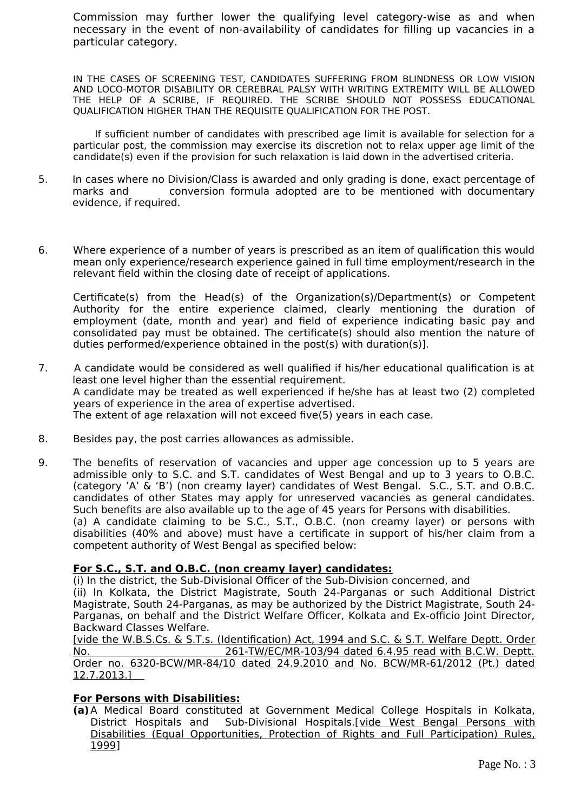Commission may further lower the qualifying level category-wise as and when necessary in the event of non-availability of candidates for filling up vacancies in a particular category.

IN THE CASES OF SCREENING TEST, CANDIDATES SUFFERING FROM BLINDNESS OR LOW VISION AND LOCO-MOTOR DISABILITY OR CEREBRAL PALSY WITH WRITING EXTREMITY WILL BE ALLOWED THE HELP OF A SCRIBE, IF REQUIRED. THE SCRIBE SHOULD NOT POSSESS EDUCATIONAL QUALIFICATION HIGHER THAN THE REQUISITE QUALIFICATION FOR THE POST.

 If sufficient number of candidates with prescribed age limit is available for selection for a particular post, the commission may exercise its discretion not to relax upper age limit of the candidate(s) even if the provision for such relaxation is laid down in the advertised criteria.

- 5. In cases where no Division/Class is awarded and only grading is done, exact percentage of marks and conversion formula adopted are to be mentioned with documentary evidence, if required.
- 6. Where experience of a number of years is prescribed as an item of qualification this would mean only experience/research experience gained in full time employment/research in the relevant field within the closing date of receipt of applications.

Certificate(s) from the Head(s) of the Organization(s)/Department(s) or Competent Authority for the entire experience claimed, clearly mentioning the duration of employment (date, month and year) and field of experience indicating basic pay and consolidated pay must be obtained. The certificate(s) should also mention the nature of duties performed/experience obtained in the post(s) with duration(s)].

- 7. A candidate would be considered as well qualified if his/her educational qualification is at least one level higher than the essential requirement. A candidate may be treated as well experienced if he/she has at least two (2) completed years of experience in the area of expertise advertised. The extent of age relaxation will not exceed five(5) years in each case.
- 8. Besides pay, the post carries allowances as admissible.
- 9. The benefits of reservation of vacancies and upper age concession up to 5 years are admissible only to S.C. and S.T. candidates of West Bengal and up to 3 years to O.B.C. (category 'A' & 'B') (non creamy layer) candidates of West Bengal. S.C., S.T. and O.B.C. candidates of other States may apply for unreserved vacancies as general candidates. Such benefits are also available up to the age of 45 years for Persons with disabilities. (a) A candidate claiming to be S.C., S.T., O.B.C. (non creamy layer) or persons with disabilities (40% and above) must have a certificate in support of his/her claim from a competent authority of West Bengal as specified below:

# **For S.C., S.T. and O.B.C. (non creamy layer) candidates:**

(i) In the district, the Sub-Divisional Officer of the Sub-Division concerned, and (ii) In Kolkata, the District Magistrate, South 24-Parganas or such Additional District Magistrate, South 24-Parganas, as may be authorized by the District Magistrate, South 24- Parganas, on behalf and the District Welfare Officer, Kolkata and Ex-officio Joint Director, Backward Classes Welfare.

[vide the W.B.S.Cs. & S.T.s. (Identification) Act, 1994 and S.C. & S.T. Welfare Deptt. Order No. 261-TW/EC/MR-103/94 dated 6.4.95 read with B.C.W. Deptt. Order no. 6320-BCW/MR-84/10 dated 24.9.2010 and No. BCW/MR-61/2012 (Pt.) dated 12.7.2013.]

# **For Persons with Disabilities:**

**(a)**A Medical Board constituted at Government Medical College Hospitals in Kolkata, District Hospitals and Sub-Divisional Hospitals.[vide West Bengal Persons with Disabilities (Equal Opportunities, Protection of Rights and Full Participation) Rules, 1999]